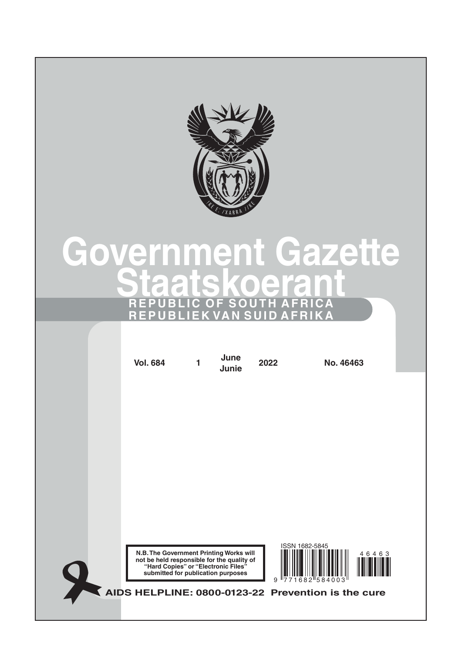

# **Government Gazette Staatskoerant REPUBLIC OF SOUTH AFRICA REPUBLIEK VAN SUID AFRIKA**

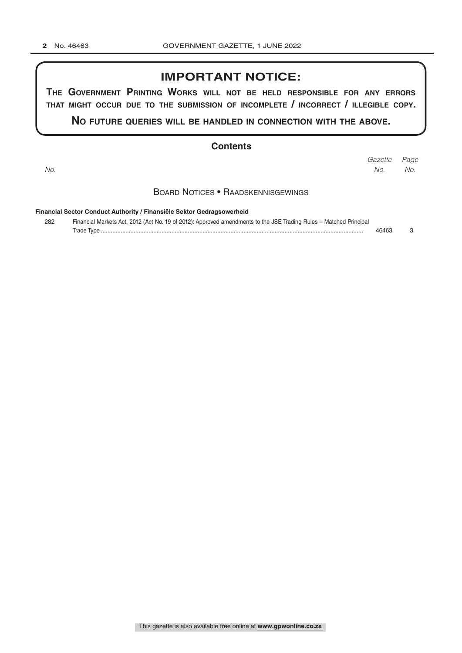## **IMPORTANT NOTICE:**

**The GovernmenT PrinTinG Works Will noT be held resPonsible for any errors ThaT miGhT occur due To The submission of incomPleTe / incorrecT / illeGible coPy.**

**no fuTure queries Will be handled in connecTion WiTh The above.**

#### **Contents**

*Page Gazette No. No. No.*

#### Board Notices • Raadskennisgewings

**Financial Sector Conduct Authority / Finansiële Sektor Gedragsowerheid**

| 282 | Financial Markets Act, 2012 (Act No. 19 of 2012): Approved amendments to the JSE Trading Rules - Matched Principal |       |  |
|-----|--------------------------------------------------------------------------------------------------------------------|-------|--|
|     |                                                                                                                    | 46463 |  |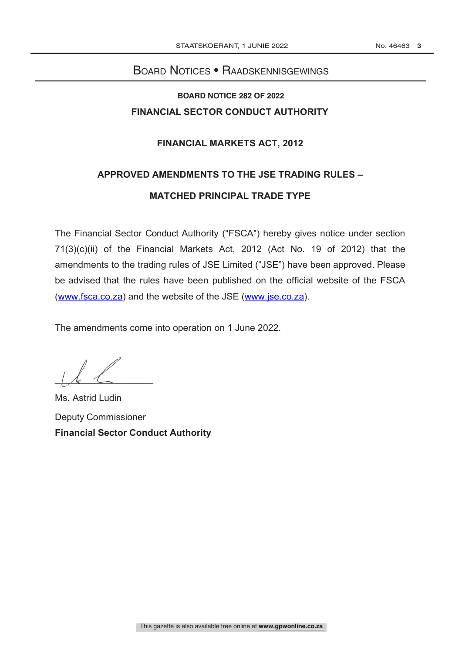## Board Notices • Raadskennisgewings **NOTICE OF 2022**

## **BOARD NOTICE 282 OF 2022 FINANCIAL SECTOR CONDUCT AUTHORITY**

#### **FINANCIAL MARKETS ACT, 2012**

# **APPROVED AMENDMENTS TO THE JSE TRADING RULES – MATCHED PRINCIPAL TRADE TYPE**

The Financial Sector Conduct Authority ("FSCA") hereby gives notice under section 71(3)(c)(ii) of the Financial Markets Act, 2012 (Act No. 19 of 2012) that the amendments to the trading rules of JSE Limited ("JSE") have been approved. Please be advised that the rules have been published on the official website of the FSCA (www.fsca.co.za) and the website of the JSE (www.jse.co.za).

The amendments come into operation on 1 June 2022.

 $\frac{1}{k}$ 

Ms. Astrid Ludin Deputy Commissioner **Financial Sector Conduct Authority**